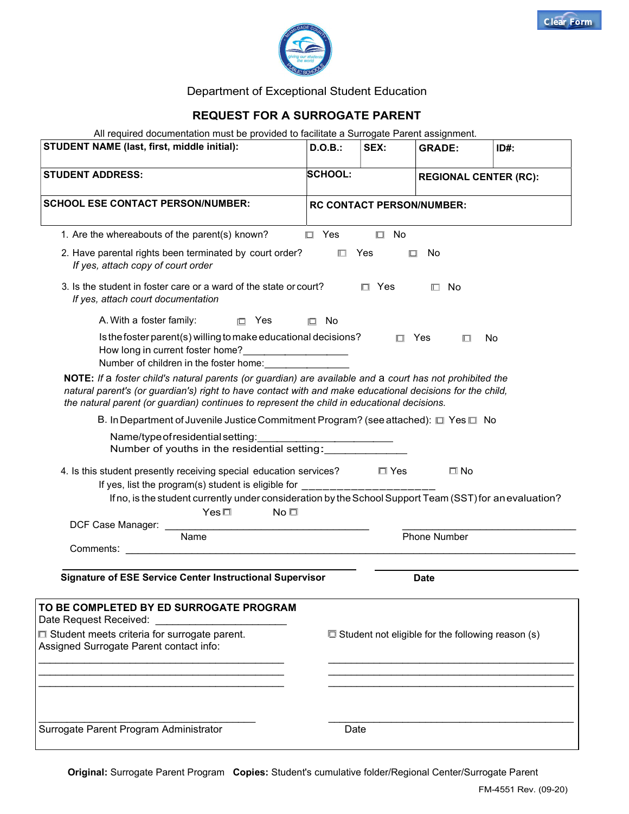

# Department of Exceptional Student Education

### REQUEST FOR A SURROGATE PARENT

All required documentation must be provided to facilitate a Surrogate Parent assignment.

| All required documentation must be provided to facilitate a ourlogate Farent assignment.<br><b>STUDENT NAME (last, first, middle initial):</b>                                                                                                                                                                       | D.O.B.:                          | SEX:          | <b>GRADE:</b>                                            | $ID#$ : |
|----------------------------------------------------------------------------------------------------------------------------------------------------------------------------------------------------------------------------------------------------------------------------------------------------------------------|----------------------------------|---------------|----------------------------------------------------------|---------|
| <b>STUDENT ADDRESS:</b>                                                                                                                                                                                                                                                                                              | <b>SCHOOL:</b>                   |               | <b>REGIONAL CENTER (RC):</b>                             |         |
| <b>SCHOOL ESE CONTACT PERSON/NUMBER:</b>                                                                                                                                                                                                                                                                             | <b>RC CONTACT PERSON/NUMBER:</b> |               |                                                          |         |
| 1. Are the whereabouts of the parent(s) known?                                                                                                                                                                                                                                                                       | $\Box$ Yes                       | $\Box$ No     |                                                          |         |
| 2. Have parental rights been terminated by court order?<br>If yes, attach copy of court order                                                                                                                                                                                                                        |                                  | $\square$ Yes | No<br>▫                                                  |         |
| 3. Is the student in foster care or a ward of the state or court?<br>If yes, attach court documentation                                                                                                                                                                                                              |                                  | $\Box$ Yes    | $\Box$ No                                                |         |
| A. With a foster family:<br>$\Box$ Yes                                                                                                                                                                                                                                                                               | $\square$ No                     |               |                                                          |         |
| Is the foster parent(s) willing to make educational decisions?<br>How long in current foster home?<br><u> </u><br>Number of children in the foster home:                                                                                                                                                             |                                  |               | $\Box$ Yes<br>П.                                         | No      |
| NOTE: If a foster child's natural parents (or guardian) are available and a court has not prohibited the<br>natural parent's (or guardian's) right to have contact with and make educational decisions for the child,<br>the natural parent (or guardian) continues to represent the child in educational decisions. |                                  |               |                                                          |         |
| B. In Department of Juvenile Justice Commitment Program? (see attached): □ Yes □ No                                                                                                                                                                                                                                  |                                  |               |                                                          |         |
| Name/type of residential setting:<br>Number of youths in the residential setting:                                                                                                                                                                                                                                    |                                  |               |                                                          |         |
| 4. Is this student presently receiving special education services?<br>If yes, list the program(s) student is eligible for                                                                                                                                                                                            |                                  | $\Box$ Yes    | $\square$ No                                             |         |
| If no, is the student currently under consideration by the School Support Team (SST) for an evaluation?                                                                                                                                                                                                              |                                  |               |                                                          |         |
| $Yes \Box$<br>$No \Box$                                                                                                                                                                                                                                                                                              |                                  |               |                                                          |         |
| DCF Case Manager:<br>Name                                                                                                                                                                                                                                                                                            |                                  |               | Phone Number                                             |         |
| Comments:                                                                                                                                                                                                                                                                                                            |                                  |               |                                                          |         |
| <b>Signature of ESE Service Center Instructional Supervisor</b>                                                                                                                                                                                                                                                      |                                  |               | <b>Date</b>                                              |         |
| TO BE COMPLETED BY ED SURROGATE PROGRAM<br>Date Request Received:                                                                                                                                                                                                                                                    |                                  |               |                                                          |         |
| □ Student meets criteria for surrogate parent.                                                                                                                                                                                                                                                                       |                                  |               | $\Box$ Student not eligible for the following reason (s) |         |
| Assigned Surrogate Parent contact info:                                                                                                                                                                                                                                                                              |                                  |               |                                                          |         |
|                                                                                                                                                                                                                                                                                                                      |                                  |               |                                                          |         |
|                                                                                                                                                                                                                                                                                                                      |                                  |               |                                                          |         |
| Surrogate Parent Program Administrator                                                                                                                                                                                                                                                                               |                                  | Date          |                                                          |         |

Original: Surrogate Parent Program Copies: Student's cumulative folder/Regional Center/Surrogate Parent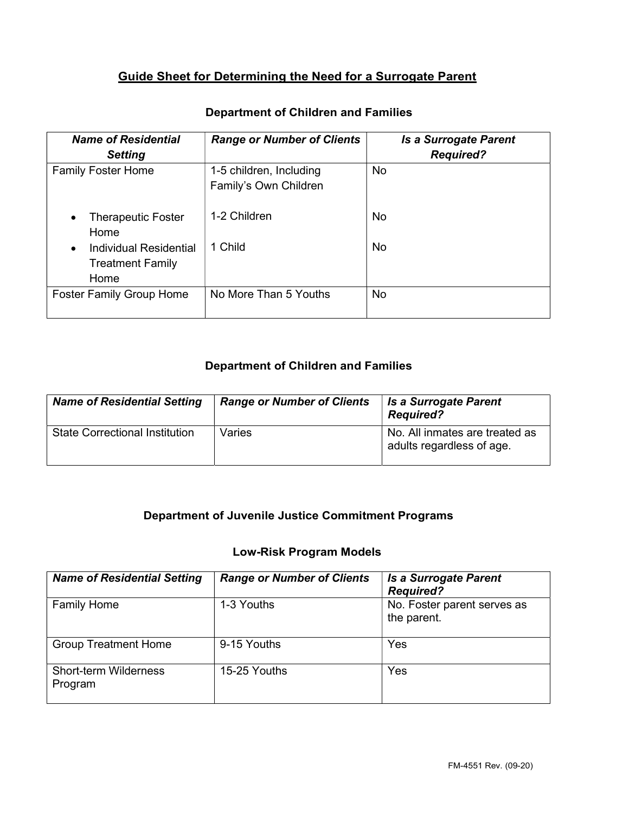# Guide Sheet for Determining the Need for a Surrogate Parent

| <b>Name of Residential</b><br><b>Setting</b>              | <b>Range or Number of Clients</b>                | <b>Is a Surrogate Parent</b><br><b>Required?</b> |
|-----------------------------------------------------------|--------------------------------------------------|--------------------------------------------------|
| <b>Family Foster Home</b>                                 | 1-5 children, Including<br>Family's Own Children | <b>No</b>                                        |
| <b>Therapeutic Foster</b><br>Home                         | 1-2 Children                                     | <b>No</b>                                        |
| Individual Residential<br><b>Treatment Family</b><br>Home | 1 Child                                          | <b>No</b>                                        |
| <b>Foster Family Group Home</b>                           | No More Than 5 Youths                            | <b>No</b>                                        |

# Department of Children and Families

## Department of Children and Families

| <b>Name of Residential Setting</b>    | <b>Range or Number of Clients</b> | <b>Is a Surrogate Parent</b><br><b>Required?</b>            |
|---------------------------------------|-----------------------------------|-------------------------------------------------------------|
| <b>State Correctional Institution</b> | Varies                            | No. All inmates are treated as<br>adults regardless of age. |

# Department of Juvenile Justice Commitment Programs

### Low-Risk Program Models

| <b>Name of Residential Setting</b>      | <b>Range or Number of Clients</b> | <b>Is a Surrogate Parent</b><br><b>Required?</b> |
|-----------------------------------------|-----------------------------------|--------------------------------------------------|
| <b>Family Home</b>                      | 1-3 Youths                        | No. Foster parent serves as<br>the parent.       |
| <b>Group Treatment Home</b>             | 9-15 Youths                       | Yes                                              |
| <b>Short-term Wilderness</b><br>Program | 15-25 Youths                      | Yes                                              |